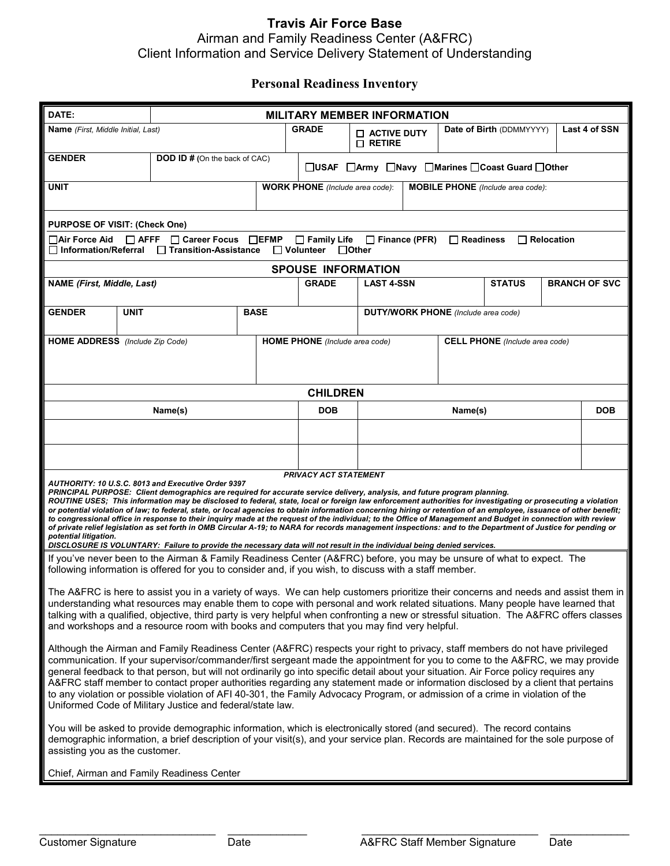## **Travis Air Force Base** Airman and Family Readiness Center (A&FRC) Client Information and Service Delivery Statement of Understanding

### **Personal Readiness Inventory**

| DATE:                                                                                                                                                                                                                                                                                                                                                                                                                                                                                                                                                                                                                                                                                                                                                                                                                                                                                                                                                                                                                                      | <b>MILITARY MEMBER INFORMATION</b> |             |                                                                                    |                                            |         |                          |               |                      |               |  |  |  |
|--------------------------------------------------------------------------------------------------------------------------------------------------------------------------------------------------------------------------------------------------------------------------------------------------------------------------------------------------------------------------------------------------------------------------------------------------------------------------------------------------------------------------------------------------------------------------------------------------------------------------------------------------------------------------------------------------------------------------------------------------------------------------------------------------------------------------------------------------------------------------------------------------------------------------------------------------------------------------------------------------------------------------------------------|------------------------------------|-------------|------------------------------------------------------------------------------------|--------------------------------------------|---------|--------------------------|---------------|----------------------|---------------|--|--|--|
| <b>Name</b> (First, Middle Initial, Last)                                                                                                                                                                                                                                                                                                                                                                                                                                                                                                                                                                                                                                                                                                                                                                                                                                                                                                                                                                                                  |                                    |             | <b>GRADE</b>                                                                       | $\Box$ active duty<br>$\Box$ Retire        |         | Date of Birth (DDMMYYYY) |               |                      | Last 4 of SSN |  |  |  |
| <b>GENDER</b><br><b>DOD ID # (On the back of CAC)</b>                                                                                                                                                                                                                                                                                                                                                                                                                                                                                                                                                                                                                                                                                                                                                                                                                                                                                                                                                                                      |                                    |             | □USAF □Army □Navy □Marines □Coast Guard □Other                                     |                                            |         |                          |               |                      |               |  |  |  |
| <b>UNIT</b>                                                                                                                                                                                                                                                                                                                                                                                                                                                                                                                                                                                                                                                                                                                                                                                                                                                                                                                                                                                                                                |                                    |             | <b>WORK PHONE</b> (Include area code):<br><b>MOBILE PHONE</b> (Include area code): |                                            |         |                          |               |                      |               |  |  |  |
| <b>PURPOSE OF VISIT: (Check One)</b>                                                                                                                                                                                                                                                                                                                                                                                                                                                                                                                                                                                                                                                                                                                                                                                                                                                                                                                                                                                                       |                                    |             |                                                                                    |                                            |         |                          |               |                      |               |  |  |  |
| $\Box$ Air Force Aid<br>$\Box$ AFFF<br>□ Career Focus<br>$\Box$ EFMP<br>$\Box$ Family Life $\Box$ Finance (PFR)<br>$\Box$ Readiness<br>$\Box$ Relocation<br>$\Box$ Information/Referral<br>□ Transition-Assistance<br>$\Box$ Volunteer $\Box$ Other                                                                                                                                                                                                                                                                                                                                                                                                                                                                                                                                                                                                                                                                                                                                                                                        |                                    |             |                                                                                    |                                            |         |                          |               |                      |               |  |  |  |
| <b>SPOUSE INFORMATION</b>                                                                                                                                                                                                                                                                                                                                                                                                                                                                                                                                                                                                                                                                                                                                                                                                                                                                                                                                                                                                                  |                                    |             |                                                                                    |                                            |         |                          |               |                      |               |  |  |  |
| <b>NAME (First, Middle, Last)</b>                                                                                                                                                                                                                                                                                                                                                                                                                                                                                                                                                                                                                                                                                                                                                                                                                                                                                                                                                                                                          |                                    |             | <b>GRADE</b>                                                                       | <b>LAST 4-SSN</b>                          |         |                          | <b>STATUS</b> | <b>BRANCH OF SVC</b> |               |  |  |  |
| <b>GENDER</b><br><b>UNIT</b>                                                                                                                                                                                                                                                                                                                                                                                                                                                                                                                                                                                                                                                                                                                                                                                                                                                                                                                                                                                                               |                                    | <b>BASE</b> |                                                                                    | <b>DUTY/WORK PHONE</b> (Include area code) |         |                          |               |                      |               |  |  |  |
| <b>HOME ADDRESS</b> (Include Zip Code)<br><b>CELL PHONE</b> (Include area code)<br><b>HOME PHONE</b> (Include area code)                                                                                                                                                                                                                                                                                                                                                                                                                                                                                                                                                                                                                                                                                                                                                                                                                                                                                                                   |                                    |             |                                                                                    |                                            |         |                          |               |                      |               |  |  |  |
|                                                                                                                                                                                                                                                                                                                                                                                                                                                                                                                                                                                                                                                                                                                                                                                                                                                                                                                                                                                                                                            |                                    |             | <b>CHILDREN</b>                                                                    |                                            |         |                          |               |                      |               |  |  |  |
|                                                                                                                                                                                                                                                                                                                                                                                                                                                                                                                                                                                                                                                                                                                                                                                                                                                                                                                                                                                                                                            | Name(s)                            |             | <b>DOB</b>                                                                         |                                            | Name(s) |                          |               |                      | <b>DOB</b>    |  |  |  |
|                                                                                                                                                                                                                                                                                                                                                                                                                                                                                                                                                                                                                                                                                                                                                                                                                                                                                                                                                                                                                                            |                                    |             |                                                                                    |                                            |         |                          |               |                      |               |  |  |  |
|                                                                                                                                                                                                                                                                                                                                                                                                                                                                                                                                                                                                                                                                                                                                                                                                                                                                                                                                                                                                                                            |                                    |             |                                                                                    |                                            |         |                          |               |                      |               |  |  |  |
| <b>PRIVACY ACT STATEMENT</b><br>AUTHORITY: 10 U.S.C. 8013 and Executive Order 9397<br>PRINCIPAL PURPOSE: Client demographics are required for accurate service delivery, analysis, and future program planning.<br>ROUTINE USES; This information may be disclosed to federal, state, local or foreign law enforcement authorities for investigating or prosecuting a violation<br>or potential violation of law; to federal, state, or local agencies to obtain information concerning hiring or retention of an employee, issuance of other benefit;<br>to congressional office in response to their inquiry made at the request of the individual; to the Office of Management and Budget in connection with review<br>of private relief legislation as set forth in OMB Circular A-19; to NARA for records management inspections: and to the Department of Justice for pending or<br>potential litigation.<br>DISCLOSURE IS VOLUNTARY: Failure to provide the necessary data will not result in the individual being denied services. |                                    |             |                                                                                    |                                            |         |                          |               |                      |               |  |  |  |
| If you've never been to the Airman & Family Readiness Center (A&FRC) before, you may be unsure of what to expect. The<br>following information is offered for you to consider and, if you wish, to discuss with a staff member.                                                                                                                                                                                                                                                                                                                                                                                                                                                                                                                                                                                                                                                                                                                                                                                                            |                                    |             |                                                                                    |                                            |         |                          |               |                      |               |  |  |  |
| The A&FRC is here to assist you in a variety of ways. We can help customers prioritize their concerns and needs and assist them in $\ $<br>understanding what resources may enable them to cope with personal and work related situations. Many people have learned that<br>talking with a qualified, objective, third party is very helpful when confronting a new or stressful situation. The A&FRC offers classes<br>and workshops and a resource room with books and computers that you may find very helpful.                                                                                                                                                                                                                                                                                                                                                                                                                                                                                                                         |                                    |             |                                                                                    |                                            |         |                          |               |                      |               |  |  |  |
| Although the Airman and Family Readiness Center (A&FRC) respects your right to privacy, staff members do not have privileged<br>communication. If your supervisor/commander/first sergeant made the appointment for you to come to the A&FRC, we may provide<br>general feedback to that person, but will not ordinarily go into specific detail about your situation. Air Force policy requires any<br>A&FRC staff member to contact proper authorities regarding any statement made or information disclosed by a client that pertains<br>to any violation or possible violation of AFI 40-301, the Family Advocacy Program, or admission of a crime in violation of the<br>Uniformed Code of Military Justice and federal/state law.                                                                                                                                                                                                                                                                                                    |                                    |             |                                                                                    |                                            |         |                          |               |                      |               |  |  |  |
| You will be asked to provide demographic information, which is electronically stored (and secured). The record contains<br>demographic information, a brief description of your visit(s), and your service plan. Records are maintained for the sole purpose of<br>assisting you as the customer.                                                                                                                                                                                                                                                                                                                                                                                                                                                                                                                                                                                                                                                                                                                                          |                                    |             |                                                                                    |                                            |         |                          |               |                      |               |  |  |  |
| Chief, Airman and Family Readiness Center                                                                                                                                                                                                                                                                                                                                                                                                                                                                                                                                                                                                                                                                                                                                                                                                                                                                                                                                                                                                  |                                    |             |                                                                                    |                                            |         |                          |               |                      |               |  |  |  |